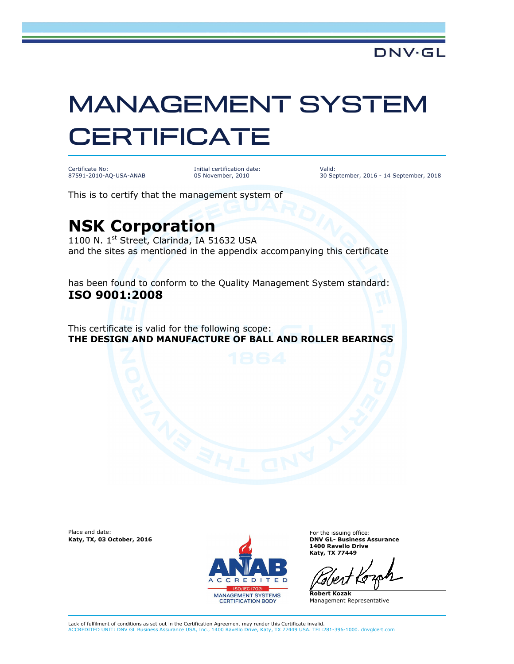## MANAGEMENT SYSTEM **CERTIFICATE**

Certificate No: 87591-2010-AQ-USA-ANAB Initial certification date: 05 November, 2010

Valid: 30 September, 2016 - 14 September, 2018

This is to certify that the management system of

## **NSK Corporation**

1100 N. 1<sup>st</sup> Street, Clarinda, IA 51632 USA and the sites as mentioned in the appendix accompanying this certificate

has been found to conform to the Quality Management System standard: **ISO 9001:2008** 

This certificate is valid for the following scope: **THE DESIGN AND MANUFACTURE OF BALL AND ROLLER BEARINGS**

Place and date:



For the issuing office: **1400 Ravello Drive Katy, TX 77449**

**Robert Kozak** Management Representative

Lack of fulfilment of conditions as set out in the Certification Agreement may render this Certificate invalid. ACCREDITED UNIT: DNV GL Business Assurance USA, Inc., 1400 Ravello Drive, Katy, TX 77449 USA. TEL:281-396-1000. dnvglcert.com